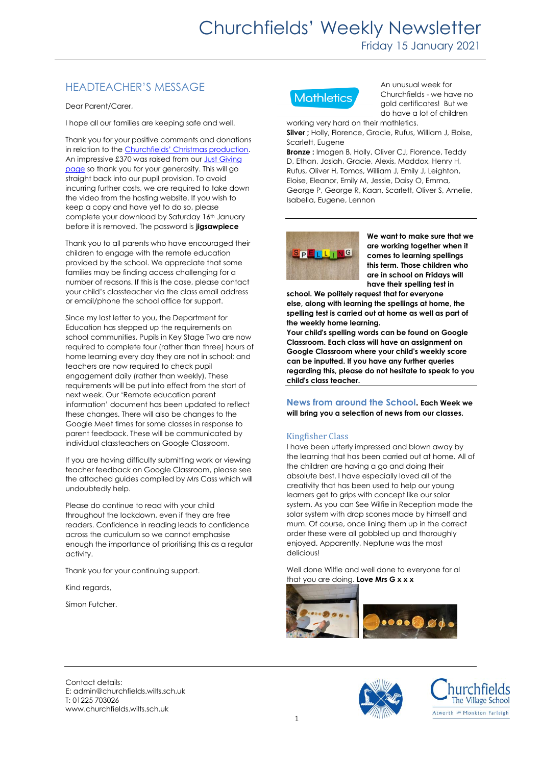# HEADTEACHER'S MESSAGE

Dear Parent/Carer,

I hope all our families are keeping safe and well.

Thank you for your positive comments and donations in relation to the [Churchfields' Christmas production](http://vimeo.com/user129515789/download/492602685/a19281071f). An impressive £370 was raised from our Just Giving [page](https://www.justgiving.com/crowdfunding/churchfieldsnativity) so thank you for your generosity. This will go straight back into our pupil provision. To avoid incurring further costs, we are required to take down the video from the hosting website. If you wish to keep a copy and have yet to do so, please complete your download by Saturday 16th January before it is removed. The password is **jigsawpiece**

Thank you to all parents who have encouraged their children to engage with the remote education provided by the school. We appreciate that some families may be finding access challenging for a number of reasons. If this is the case, please contact your child's classteacher via the class email address or email/phone the school office for support.

Since my last letter to you, the Department for Education has stepped up the requirements on school communities. Pupils in Key Stage Two are now required to complete four (rather than three) hours of home learning every day they are not in school; and teachers are now required to check pupil engagement daily (rather than weekly). These requirements will be put into effect from the start of next week. Our 'Remote education parent information' document has been updated to reflect these changes. There will also be changes to the Google Meet times for some classes in response to parent feedback. These will be communicated by individual classteachers on Google Classroom.

If you are having difficulty submitting work or viewing teacher feedback on Google Classroom, please see the attached guides compiled by Mrs Cass which will undoubtedly help.

Please do continue to read with your child throughout the lockdown, even if they are free readers. Confidence in reading leads to confidence across the curriculum so we cannot emphasise enough the importance of prioritising this as a regular activity.

Thank you for your continuing support.

Kind regards,

Simon Futcher.



An unusual week for Churchfields - we have no gold certificates! But we do have a lot of children

working very hard on their mathletics. **Silver ;** Holly, Florence, Gracie, Rufus, William J, Eloise, Scarlett, Eugene

**Bronze :** Imogen B, Holly, Oliver CJ, Florence, Teddy D, Ethan, Josiah, Gracie, Alexis, Maddox, Henry H, Rufus, Oliver H, Tomas, William J, Emily J, Leighton, Eloise, Eleanor, Emily M, Jessie, Daisy O, Emma, George P, George R, Kaan, Scarlett, Oliver S, Amelie, Isabella, Eugene, Lennon



**We want to make sure that we are working together when it comes to learning spellings this term. Those children who are in school on Fridays will have their spelling test in** 

**school. We politely request that for everyone else, along with learning the spellings at home, the spelling test is carried out at home as well as part of the weekly home learning.**

**Your child's spelling words can be found on Google Classroom. Each class will have an assignment on Google Classroom where your child's weekly score can be inputted. If you have any further queries regarding this, please do not hesitate to speak to you child's class teacher.**

**News from around the School. Each Week we will bring you a selection of news from our classes.**

### Kingfisher Class

I have been utterly impressed and blown away by the learning that has been carried out at home. All of the children are having a go and doing their absolute best. I have especially loved all of the creativity that has been used to help our young learners get to grips with concept like our solar system. As you can See Wilfie in Reception made the solar system with drop scones made by himself and mum. Of course, once lining them up in the correct order these were all gobbled up and thoroughly enjoyed. Apparently, Neptune was the most delicious!

Well done Wilfie and well done to everyone for al that you are doing. **Love Mrs G x x x**



Contact details: E: admin@churchfields.wilts.sch.uk T: 01225 703026 www.churchfields.wilts.sch.uk



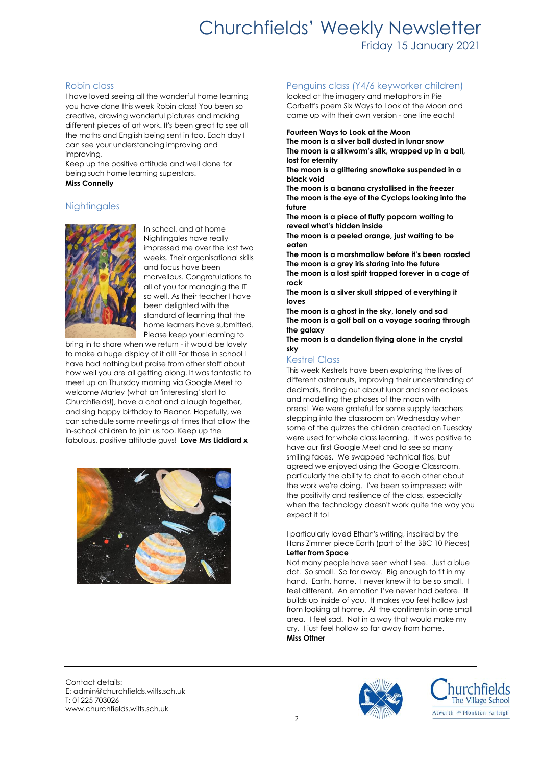# Robin class

I have loved seeing all the wonderful home learning you have done this week Robin class! You been so creative, drawing wonderful pictures and making different pieces of art work. It's been great to see all the maths and English being sent in too. Each day I can see your understanding improving and improving.

Keep up the positive attitude and well done for being such home learning superstars. **Miss Connelly**

# **Nightingales**



In school, and at home Nightingales have really impressed me over the last two weeks. Their organisational skills and focus have been marvellous. Congratulations to all of you for managing the IT so well. As their teacher I have been delighted with the standard of learning that the home learners have submitted. Please keep your learning to

bring in to share when we return - it would be lovely to make a huge display of it all! For those in school I have had nothing but praise from other staff about how well you are all getting along. It was fantastic to meet up on Thursday morning via Google Meet to welcome Marley (what an 'interesting' start to Churchfields!), have a chat and a laugh together, and sing happy birthday to Eleanor. Hopefully, we can schedule some meetings at times that allow the in-school children to join us too. Keep up the fabulous, positive attitude guys! **Love Mrs Liddiard x**



#### Penguins class (Y4/6 keyworker children)

looked at the imagery and metaphors in Pie Corbett's poem Six Ways to Look at the Moon and came up with their own version - one line each!

#### **Fourteen Ways to Look at the Moon**

**The moon is a silver ball dusted in lunar snow The moon is a silkworm's silk, wrapped up in a ball, lost for eternity**

**The moon is a glittering snowflake suspended in a black void**

**The moon is a banana crystallised in the freezer The moon is the eye of the Cyclops looking into the future**

**The moon is a piece of fluffy popcorn waiting to reveal what's hidden inside**

**The moon is a peeled orange, just waiting to be eaten**

**The moon is a marshmallow before it's been roasted The moon is a grey iris staring into the future The moon is a lost spirit trapped forever in a cage of rock**

**The moon is a silver skull stripped of everything it loves**

**The moon is a ghost in the sky, lonely and sad The moon is a golf ball on a voyage soaring through the galaxy**

**The moon is a dandelion flying alone in the crystal sky**

# Kestrel Class

This week Kestrels have been exploring the lives of different astronauts, improving their understanding of decimals, finding out about lunar and solar eclipses and modelling the phases of the moon with oreos! We were grateful for some supply teachers stepping into the classroom on Wednesday when some of the quizzes the children created on Tuesday were used for whole class learning. It was positive to have our first Google Meet and to see so many smiling faces. We swapped technical tips, but agreed we enjoyed using the Google Classroom, particularly the ability to chat to each other about the work we're doing. I've been so impressed with the positivity and resilience of the class, especially when the technology doesn't work quite the way you expect it to!

I particularly loved Ethan's writing, inspired by the Hans Zimmer piece Earth (part of the BBC 10 Pieces) **Letter from Space**

Not many people have seen what I see. Just a blue dot. So small. So far away. Big enough to fit in my hand. Earth, home. I never knew it to be so small. I feel different. An emotion I've never had before. It builds up inside of you. It makes you feel hollow just from looking at home. All the continents in one small area. I feel sad. Not in a way that would make my cry. I just feel hollow so far away from home. **Miss Ottner**

Contact details: E: admin@churchfields.wilts.sch.uk T: 01225 703026 www.churchfields.wilts.sch.uk